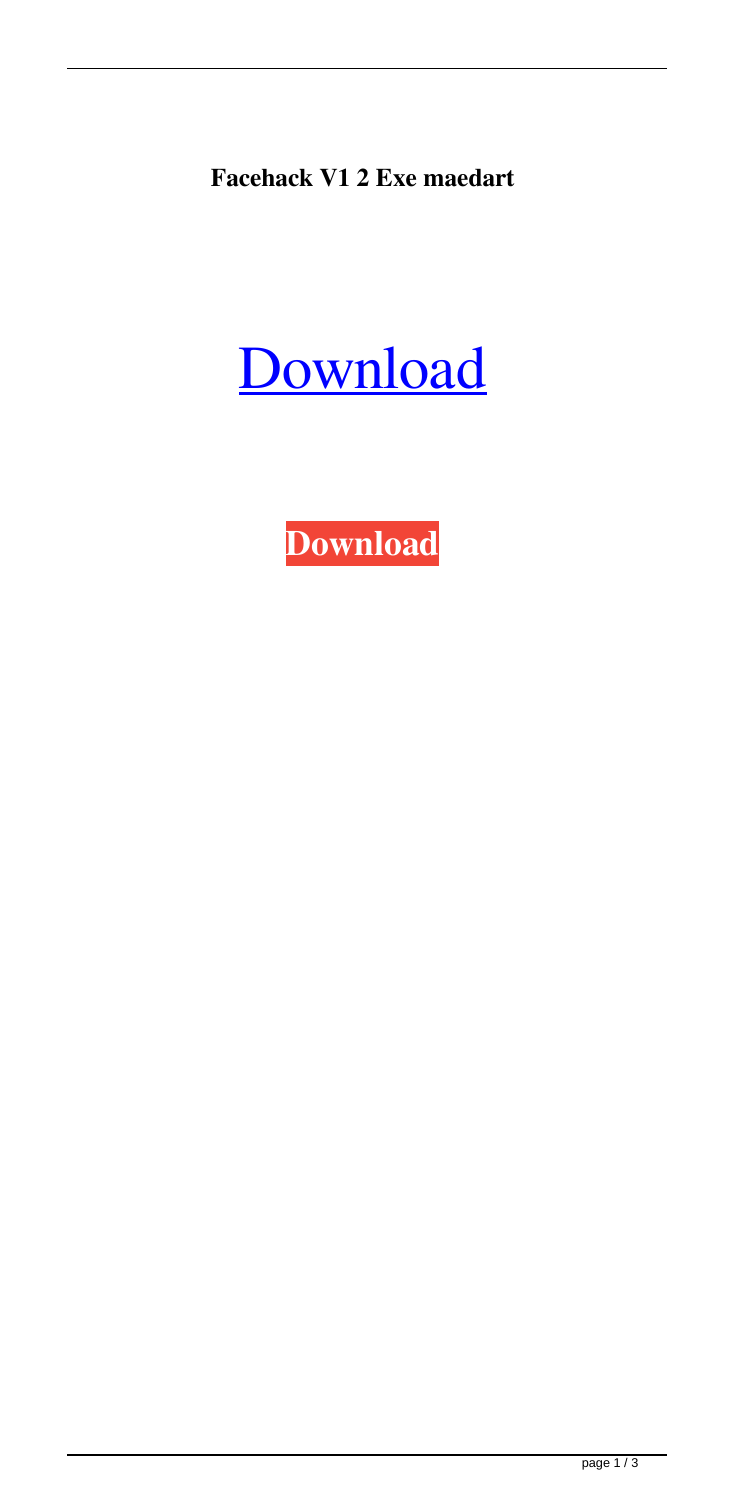## **Facehack V1 2 Exe maedart**

## [Download](http://evacdir.com/irobot/kaolin.lmost/adiponectin/RmFjZWhhY2sgdjEgMiBleGURmF/signing.ZG93bmxvYWR8Rzg4TVhScmRYeDhNVFkxTWpRMk16QTFNSHg4TWpVM05IeDhLRTBwSUhKbFlXUXRZbXh2WnlCYlJtRnpkQ0JIUlU1ZA)

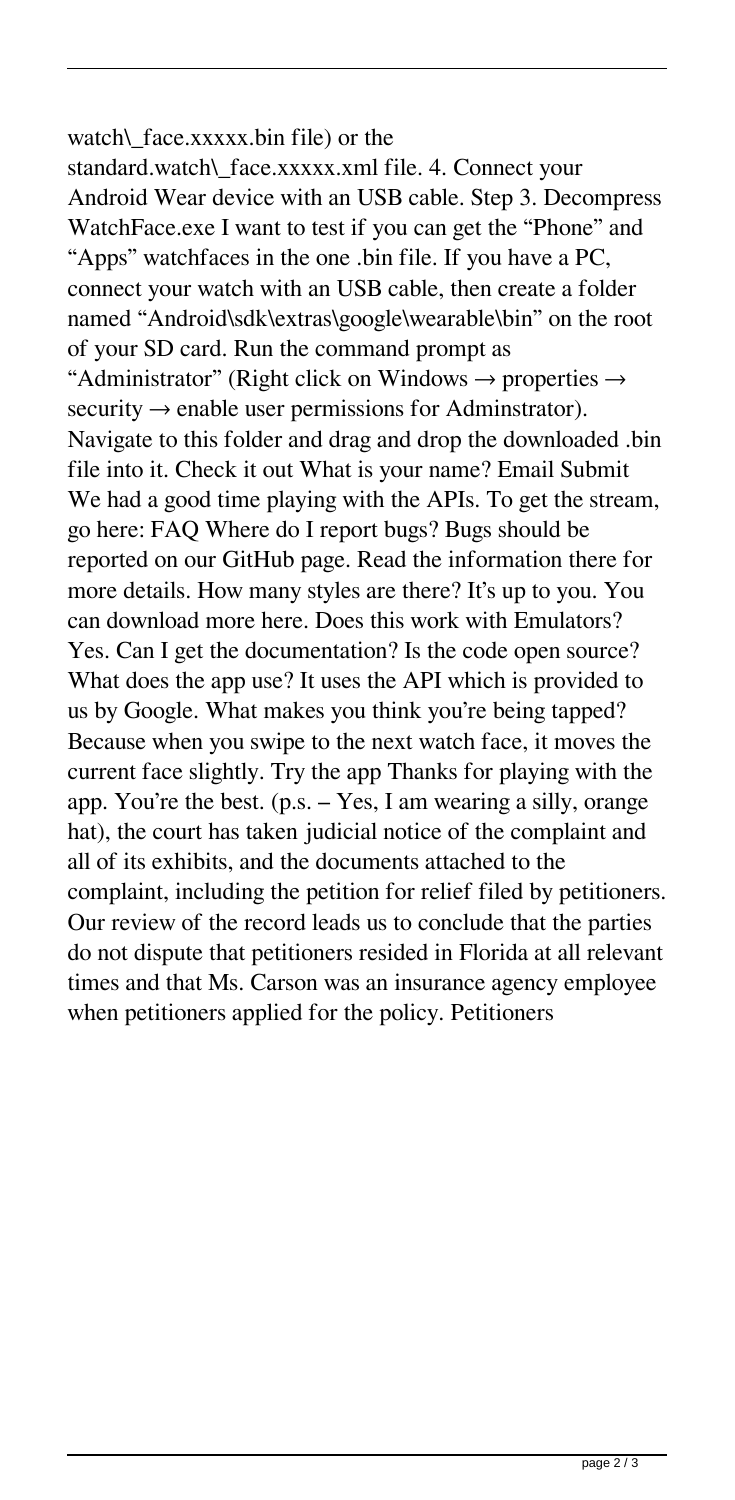## watch\\_face.xxxxx.bin file) or the

standard.watch\\_face.xxxxx.xml file. 4. Connect your Android Wear device with an USB cable. Step 3. Decompress WatchFace.exe I want to test if you can get the "Phone" and "Apps" watchfaces in the one .bin file. If you have a PC, connect your watch with an USB cable, then create a folder named "Android\sdk\extras\google\wearable\bin" on the root of your SD card. Run the command prompt as "Administrator" (Right click on Windows  $\rightarrow$  properties  $\rightarrow$ security  $\rightarrow$  enable user permissions for Adminstrator). Navigate to this folder and drag and drop the downloaded .bin file into it. Check it out What is your name? Email Submit We had a good time playing with the APIs. To get the stream, go here: FAQ Where do I report bugs? Bugs should be reported on our GitHub page. Read the information there for more details. How many styles are there? It's up to you. You can download more here. Does this work with Emulators? Yes. Can I get the documentation? Is the code open source? What does the app use? It uses the API which is provided to us by Google. What makes you think you're being tapped? Because when you swipe to the next watch face, it moves the current face slightly. Try the app Thanks for playing with the app. You're the best. (p.s. – Yes, I am wearing a silly, orange hat), the court has taken judicial notice of the complaint and all of its exhibits, and the documents attached to the complaint, including the petition for relief filed by petitioners. Our review of the record leads us to conclude that the parties do not dispute that petitioners resided in Florida at all relevant times and that Ms. Carson was an insurance agency employee when petitioners applied for the policy. Petitioners